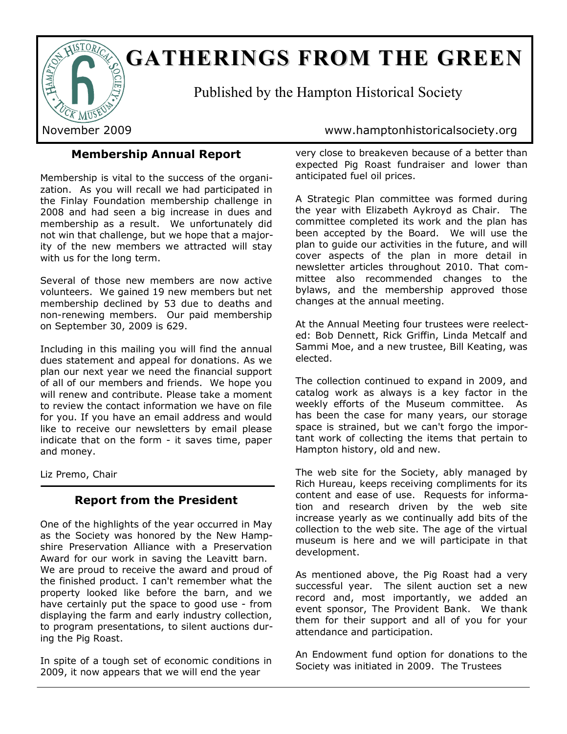

# **GATHERIGS FROM THE GREE**

Published by the Hampton Historical Society

# November 2009 www.hamptonhistoricalsociety.org

# **Membership Annual Report**

Membership is vital to the success of the organization. As you will recall we had participated in the Finlay Foundation membership challenge in 2008 and had seen a big increase in dues and membership as a result. We unfortunately did not win that challenge, but we hope that a majority of the new members we attracted will stay with us for the long term.

Several of those new members are now active volunteers. We gained 19 new members but net membership declined by 53 due to deaths and non-renewing members. Our paid membership on September 30, 2009 is 629.

Including in this mailing you will find the annual dues statement and appeal for donations. As we plan our next year we need the financial support of all of our members and friends. We hope you will renew and contribute. Please take a moment to review the contact information we have on file for you. If you have an email address and would like to receive our newsletters by email please indicate that on the form - it saves time, paper and money.

Liz Premo, Chair

# **Report from the President**

One of the highlights of the year occurred in May as the Society was honored by the New Hampshire Preservation Alliance with a Preservation Award for our work in saving the Leavitt barn. We are proud to receive the award and proud of the finished product. I can't remember what the property looked like before the barn, and we have certainly put the space to good use - from displaying the farm and early industry collection, to program presentations, to silent auctions during the Pig Roast.

In spite of a tough set of economic conditions in 2009, it now appears that we will end the year

very close to breakeven because of a better than expected Pig Roast fundraiser and lower than anticipated fuel oil prices.

A Strategic Plan committee was formed during the year with Elizabeth Aykroyd as Chair. The committee completed its work and the plan has been accepted by the Board. We will use the plan to guide our activities in the future, and will cover aspects of the plan in more detail in newsletter articles throughout 2010. That committee also recommended changes to the bylaws, and the membership approved those changes at the annual meeting.

At the Annual Meeting four trustees were reelected: Bob Dennett, Rick Griffin, Linda Metcalf and Sammi Moe, and a new trustee, Bill Keating, was elected.

The collection continued to expand in 2009, and catalog work as always is a key factor in the weekly efforts of the Museum committee. As has been the case for many years, our storage space is strained, but we can't forgo the important work of collecting the items that pertain to Hampton history, old and new.

The web site for the Society, ably managed by Rich Hureau, keeps receiving compliments for its content and ease of use. Requests for information and research driven by the web site increase yearly as we continually add bits of the collection to the web site. The age of the virtual museum is here and we will participate in that development.

As mentioned above, the Pig Roast had a very successful year. The silent auction set a new record and, most importantly, we added an event sponsor, The Provident Bank. We thank them for their support and all of you for your attendance and participation.

An Endowment fund option for donations to the Society was initiated in 2009. The Trustees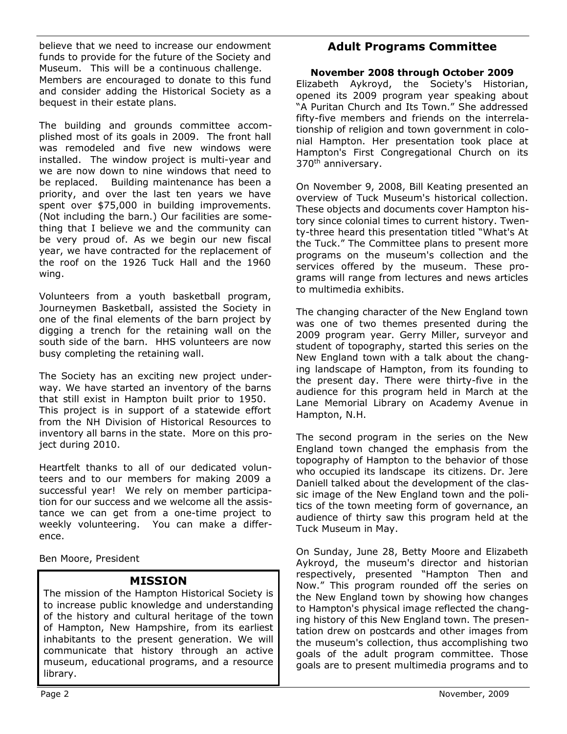believe that we need to increase our endowment funds to provide for the future of the Society and Museum. This will be a continuous challenge. Members are encouraged to donate to this fund and consider adding the Historical Society as a bequest in their estate plans.

The building and grounds committee accomplished most of its goals in 2009. The front hall was remodeled and five new windows were installed. The window project is multi-year and we are now down to nine windows that need to be replaced. Building maintenance has been a priority, and over the last ten years we have spent over \$75,000 in building improvements. (Not including the barn.) Our facilities are something that I believe we and the community can be very proud of. As we begin our new fiscal year, we have contracted for the replacement of the roof on the 1926 Tuck Hall and the 1960 wing.

Volunteers from a youth basketball program, Journeymen Basketball, assisted the Society in one of the final elements of the barn project by digging a trench for the retaining wall on the south side of the barn. HHS volunteers are now busy completing the retaining wall.

The Society has an exciting new project underway. We have started an inventory of the barns that still exist in Hampton built prior to 1950. This project is in support of a statewide effort from the NH Division of Historical Resources to inventory all barns in the state. More on this project during 2010.

Heartfelt thanks to all of our dedicated volunteers and to our members for making 2009 a successful year! We rely on member participation for our success and we welcome all the assistance we can get from a one-time project to weekly volunteering. You can make a difference.

Ben Moore, President

# **MISSION**

The mission of the Hampton Historical Society is to increase public knowledge and understanding of the history and cultural heritage of the town of Hampton, New Hampshire, from its earliest inhabitants to the present generation. We will communicate that history through an active museum, educational programs, and a resource library.

# **Adult Programs Committee**

#### **November 2008 through October 2009**

Elizabeth Aykroyd, the Society's Historian, opened its 2009 program year speaking about "A Puritan Church and Its Town." She addressed fifty-five members and friends on the interrelationship of religion and town government in colonial Hampton. Her presentation took place at Hampton's First Congregational Church on its 370<sup>th</sup> anniversary.

On November 9, 2008, Bill Keating presented an overview of Tuck Museum's historical collection. These objects and documents cover Hampton history since colonial times to current history. Twenty-three heard this presentation titled "What's At the Tuck." The Committee plans to present more programs on the museum's collection and the services offered by the museum. These programs will range from lectures and news articles to multimedia exhibits.

The changing character of the New England town was one of two themes presented during the 2009 program year. Gerry Miller, surveyor and student of topography, started this series on the New England town with a talk about the changing landscape of Hampton, from its founding to the present day. There were thirty-five in the audience for this program held in March at the Lane Memorial Library on Academy Avenue in Hampton, N.H.

The second program in the series on the New England town changed the emphasis from the topography of Hampton to the behavior of those who occupied its landscape its citizens. Dr. Jere Daniell talked about the development of the classic image of the New England town and the politics of the town meeting form of governance, an audience of thirty saw this program held at the Tuck Museum in May.

On Sunday, June 28, Betty Moore and Elizabeth Aykroyd, the museum's director and historian respectively, presented "Hampton Then and Now." This program rounded off the series on the New England town by showing how changes to Hampton's physical image reflected the changing history of this New England town. The presentation drew on postcards and other images from the museum's collection, thus accomplishing two goals of the adult program committee. Those goals are to present multimedia programs and to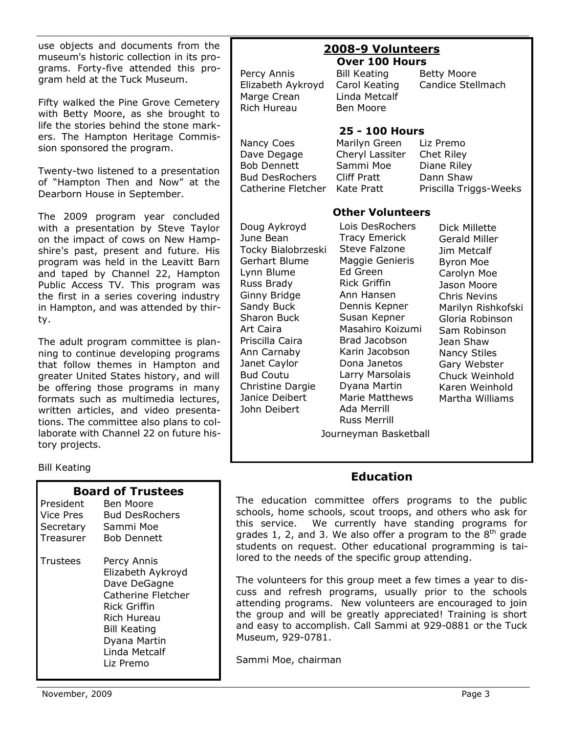use objects and documents from the museum's historic collection in its programs. Forty-five attended this program held at the Tuck Museum.

Fifty walked the Pine Grove Cemetery with Betty Moore, as she brought to life the stories behind the stone markers. The Hampton Heritage Commission sponsored the program.

Twenty-two listened to a presentation of "Hampton Then and Now" at the Dearborn House in September.

The 2009 program year concluded with a presentation by Steve Taylor on the impact of cows on New Hampshire's past, present and future. His program was held in the Leavitt Barn and taped by Channel 22, Hampton Public Access TV. This program was the first in a series covering industry in Hampton, and was attended by thirty.

The adult program committee is planning to continue developing programs that follow themes in Hampton and greater United States history, and will be offering those programs in many formats such as multimedia lectures, written articles, and video presentations. The committee also plans to collaborate with Channel 22 on future history projects.

#### Bill Keating

| President<br>Vice Pres<br>Secretary<br>Treasurer | <b>Board of Trustees</b><br>Ben Moore<br><b>Bud DesRochers</b><br>Sammi Moe<br>Bob Dennett                                                                                 |
|--------------------------------------------------|----------------------------------------------------------------------------------------------------------------------------------------------------------------------------|
| Trustees                                         | Percy Annis<br>Elizabeth Aykroyd<br>Dave DeGagne<br>Catherine Fletcher<br>Rick Griffin<br>Rich Hureau<br><b>Bill Keating</b><br>Dyana Martin<br>Linda Metcalf<br>Liz Premo |

#### **2008-9 Volunteers Over 100 Hours**

Percy Annis Bill Keating Betty Moore Elizabeth Aykroyd Carol Keating Candice Stellmach Marge Crean Linda Metcalf Rich Hureau Ben Moore

## **25 - 100 Hours**

Nancy Coes Marilyn Green Liz Premo Dave Degage Cheryl Lassiter Chet Riley Bob Dennett Sammi Moe Diane Riley Bud DesRochers Cliff Pratt Dann Shaw Catherine Fletcher Kate Pratt Priscilla Triggs-Weeks

## **Other Volunteers**

Doug Aykroyd June Bean Tocky Bialobrzeski Gerhart Blume Lynn Blume Russ Brady Ginny Bridge Sandy Buck Sharon Buck Art Caira Priscilla Caira Ann Carnaby Janet Caylor Bud Coutu Christine Dargie Janice Deibert John Deibert Lois DesRochers Tracy Emerick Steve Falzone Maggie Genieris Ed Green Rick Griffin Ann Hansen Dennis Kepner Susan Kepner Masahiro Koizumi Brad Jacobson Karin Jacobson Dona Janetos Larry Marsolais Dyana Martin Marie Matthews Ada Merrill Russ Merrill

Dick Millette Gerald Miller Jim Metcalf Byron Moe Carolyn Moe Jason Moore Chris Nevins Marilyn Rishkofski Gloria Robinson Sam Robinson Jean Shaw Nancy Stiles Gary Webster Chuck Weinhold Karen Weinhold Martha Williams

Journeyman Basketball

## **Education**

The education committee offers programs to the public schools, home schools, scout troops, and others who ask for this service. We currently have standing programs for grades 1, 2, and 3. We also offer a program to the 8<sup>th</sup> grade students on request. Other educational programming is tailored to the needs of the specific group attending.

The volunteers for this group meet a few times a year to discuss and refresh programs, usually prior to the schools attending programs. New volunteers are encouraged to join the group and will be greatly appreciated! Training is short and easy to accomplish. Call Sammi at 929-0881 or the Tuck Museum, 929-0781.

Sammi Moe, chairman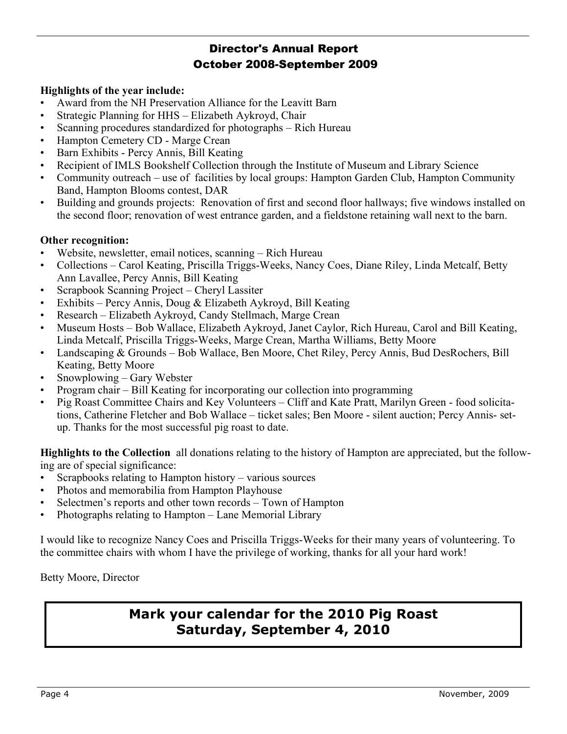# Director's Annual Report October 2008-September 2009

### **Highlights of the year include:**

- Award from the NH Preservation Alliance for the Leavitt Barn
- Strategic Planning for HHS Elizabeth Aykroyd, Chair
- Scanning procedures standardized for photographs Rich Hureau
- Hampton Cemetery CD Marge Crean
- Barn Exhibits Percy Annis, Bill Keating
- Recipient of IMLS Bookshelf Collection through the Institute of Museum and Library Science
- Community outreach use of facilities by local groups: Hampton Garden Club, Hampton Community Band, Hampton Blooms contest, DAR
- Building and grounds projects: Renovation of first and second floor hallways; five windows installed on the second floor; renovation of west entrance garden, and a fieldstone retaining wall next to the barn.

### **Other recognition:**

- Website, newsletter, email notices, scanning Rich Hureau
- Collections Carol Keating, Priscilla Triggs-Weeks, Nancy Coes, Diane Riley, Linda Metcalf, Betty Ann Lavallee, Percy Annis, Bill Keating
- Scrapbook Scanning Project Cheryl Lassiter
- Exhibits Percy Annis, Doug & Elizabeth Aykroyd, Bill Keating
- Research Elizabeth Aykroyd, Candy Stellmach, Marge Crean
- Museum Hosts Bob Wallace, Elizabeth Aykroyd, Janet Caylor, Rich Hureau, Carol and Bill Keating, Linda Metcalf, Priscilla Triggs-Weeks, Marge Crean, Martha Williams, Betty Moore
- Landscaping & Grounds Bob Wallace, Ben Moore, Chet Riley, Percy Annis, Bud DesRochers, Bill Keating, Betty Moore
- Snowplowing Gary Webster
- Program chair Bill Keating for incorporating our collection into programming
- Pig Roast Committee Chairs and Key Volunteers Cliff and Kate Pratt, Marilyn Green food solicitations, Catherine Fletcher and Bob Wallace – ticket sales; Ben Moore - silent auction; Percy Annis- setup. Thanks for the most successful pig roast to date.

**Highlights to the Collection** all donations relating to the history of Hampton are appreciated, but the following are of special significance:

- Scrapbooks relating to Hampton history various sources
- Photos and memorabilia from Hampton Playhouse
- Selectmen's reports and other town records Town of Hampton
- Photographs relating to Hampton Lane Memorial Library

I would like to recognize Nancy Coes and Priscilla Triggs-Weeks for their many years of volunteering. To the committee chairs with whom I have the privilege of working, thanks for all your hard work!

Betty Moore, Director

# **Mark your calendar for the 2010 Pig Roast Saturday, September 4, 2010**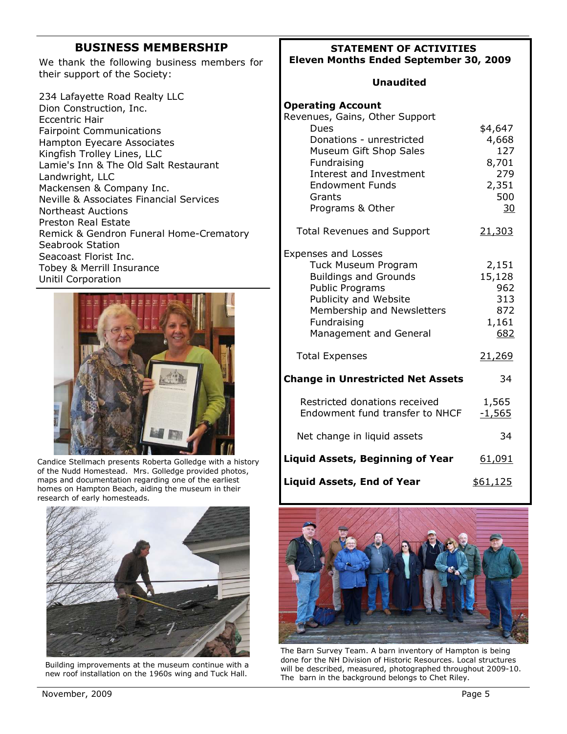# **BUSINESS MEMBERSHIP**

We thank the following business members for their support of the Society:

234 Lafayette Road Realty LLC Dion Construction, Inc. Eccentric Hair Fairpoint Communications Hampton Eyecare Associates Kingfish Trolley Lines, LLC Lamie's Inn & The Old Salt Restaurant Landwright, LLC Mackensen & Company Inc. Neville & Associates Financial Services Northeast Auctions Preston Real Estate Remick & Gendron Funeral Home-Crematory Seabrook Station Seacoast Florist Inc. Tobey & Merrill Insurance Unitil Corporation



Candice Stellmach presents Roberta Golledge with a history of the Nudd Homestead. Mrs. Golledge provided photos, maps and documentation regarding one of the earliest homes on Hampton Beach, aiding the museum in their research of early homesteads.



Building improvements at the museum continue with a new roof installation on the 1960s wing and Tuck Hall.

#### **STATEMENT OF ACTIVITIES Eleven Months Ended September 30, 2009**

#### **Unaudited**

| <b>Operating Account</b><br>Revenues, Gains, Other Support<br>Dues<br>Donations - unrestricted<br>Museum Gift Shop Sales<br>Fundraising<br>Interest and Investment<br><b>Endowment Funds</b><br>Grants<br>Programs & Other | \$4,647<br>4,668<br>127<br>8,701<br>279<br>2,351<br>500<br>30 |
|----------------------------------------------------------------------------------------------------------------------------------------------------------------------------------------------------------------------------|---------------------------------------------------------------|
| <b>Total Revenues and Support</b>                                                                                                                                                                                          | 21,303                                                        |
| <b>Expenses and Losses</b><br>Tuck Museum Program<br><b>Buildings and Grounds</b><br><b>Public Programs</b><br>Publicity and Website<br>Membership and Newsletters<br>Fundraising<br>Management and General                | 2,151<br>15,128<br>962<br>313<br>872<br>1,161<br>682          |
| <b>Total Expenses</b>                                                                                                                                                                                                      | 21,269                                                        |
| <b>Change in Unrestricted Net Assets</b>                                                                                                                                                                                   | 34                                                            |
| Restricted donations received<br>Endowment fund transfer to NHCF                                                                                                                                                           | 1,565<br>$-1,565$                                             |
| Net change in liquid assets                                                                                                                                                                                                | 34                                                            |
| <b>Liquid Assets, Beginning of Year</b>                                                                                                                                                                                    | 61,091                                                        |
| <b>Liquid Assets, End of Year</b>                                                                                                                                                                                          | \$61,125                                                      |



The Barn Survey Team. A barn inventory of Hampton is being done for the NH Division of Historic Resources. Local structures will be described, measured, photographed throughout 2009-10. The barn in the background belongs to Chet Riley.